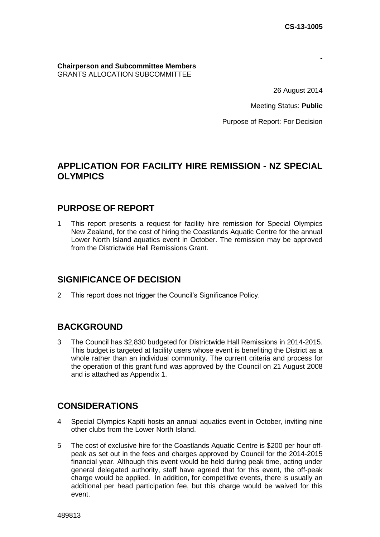**-**

### **Chairperson and Subcommittee Members**  GRANTS ALLOCATION SUBCOMMITTEE

26 August 2014

Meeting Status: **Public**

Purpose of Report: For Decision

# **APPLICATION FOR FACILITY HIRE REMISSION - NZ SPECIAL OLYMPICS**

# **PURPOSE OF REPORT**

1 This report presents a request for facility hire remission for Special Olympics New Zealand, for the cost of hiring the Coastlands Aquatic Centre for the annual Lower North Island aquatics event in October. The remission may be approved from the Districtwide Hall Remissions Grant.

# **SIGNIFICANCE OF DECISION**

2 This report does not trigger the Council's Significance Policy.

# **BACKGROUND**

3 The Council has \$2,830 budgeted for Districtwide Hall Remissions in 2014-2015. This budget is targeted at facility users whose event is benefiting the District as a whole rather than an individual community. The current criteria and process for the operation of this grant fund was approved by the Council on 21 August 2008 and is attached as Appendix 1.

# **CONSIDERATIONS**

- 4 Special Olympics Kapiti hosts an annual aquatics event in October, inviting nine other clubs from the Lower North Island.
- 5 The cost of exclusive hire for the Coastlands Aquatic Centre is \$200 per hour offpeak as set out in the fees and charges approved by Council for the 2014-2015 financial year. Although this event would be held during peak time, acting under general delegated authority, staff have agreed that for this event, the off-peak charge would be applied. In addition, for competitive events, there is usually an additional per head participation fee, but this charge would be waived for this event.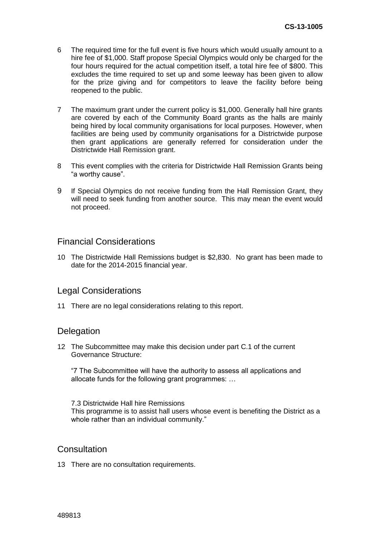- 6 The required time for the full event is five hours which would usually amount to a hire fee of \$1,000. Staff propose Special Olympics would only be charged for the four hours required for the actual competition itself, a total hire fee of \$800. This excludes the time required to set up and some leeway has been given to allow for the prize giving and for competitors to leave the facility before being reopened to the public.
- 7 The maximum grant under the current policy is \$1,000. Generally hall hire grants are covered by each of the Community Board grants as the halls are mainly being hired by local community organisations for local purposes. However, when facilities are being used by community organisations for a Districtwide purpose then grant applications are generally referred for consideration under the Districtwide Hall Remission grant.
- 8 This event complies with the criteria for Districtwide Hall Remission Grants being "a worthy cause".
- 9 If Special Olympics do not receive funding from the Hall Remission Grant, they will need to seek funding from another source. This may mean the event would not proceed.

### Financial Considerations

10 The Districtwide Hall Remissions budget is \$2,830. No grant has been made to date for the 2014-2015 financial year.

### Legal Considerations

11 There are no legal considerations relating to this report.

### **Delegation**

12 The Subcommittee may make this decision under part C.1 of the current Governance Structure:

"7 The Subcommittee will have the authority to assess all applications and allocate funds for the following grant programmes: …

7.3 Districtwide Hall hire Remissions This programme is to assist hall users whose event is benefiting the District as a whole rather than an individual community."

### **Consultation**

13 There are no consultation requirements.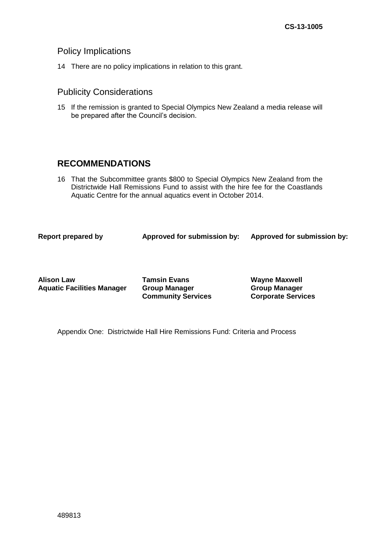### Policy Implications

14 There are no policy implications in relation to this grant.

### Publicity Considerations

15 If the remission is granted to Special Olympics New Zealand a media release will be prepared after the Council's decision.

# **RECOMMENDATIONS**

16 That the Subcommittee grants \$800 to Special Olympics New Zealand from the Districtwide Hall Remissions Fund to assist with the hire fee for the Coastlands Aquatic Centre for the annual aquatics event in October 2014.

**Report prepared by Approved for submission by: Approved for submission by:**

**Alison Law Aquatic Facilities Manager** **Tamsin Evans Group Manager Community Services** **Wayne Maxwell Group Manager Corporate Services** 

Appendix One: Districtwide Hall Hire Remissions Fund: Criteria and Process